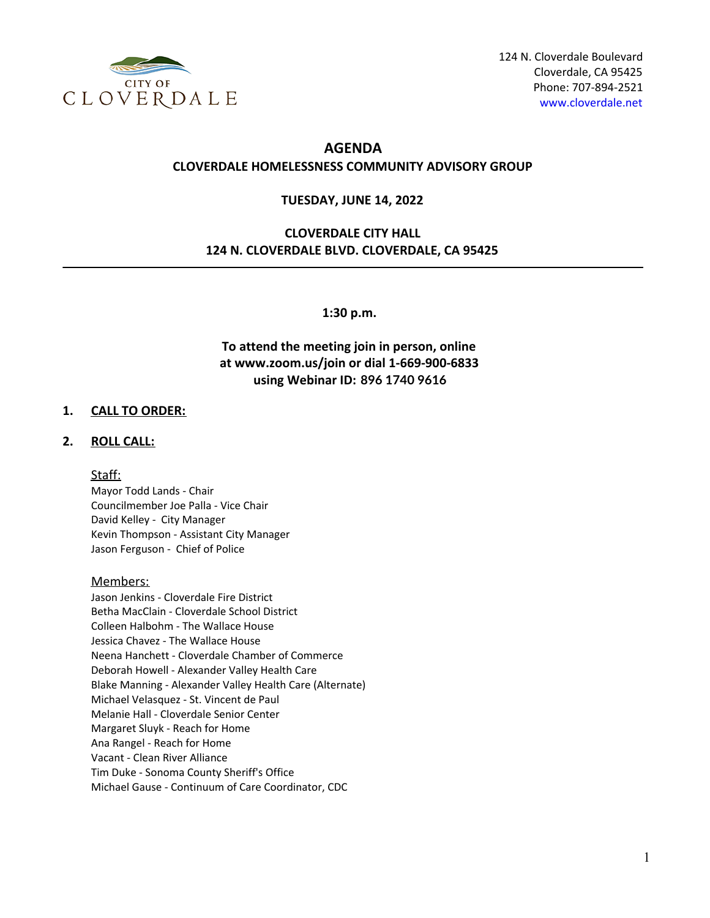

124 N. Cloverdale Boulevard Cloverdale, CA 95425 Phone: 707-894-2521 [www.cloverdale.net](https://www.cloverdale.net)

# **AGENDA CLOVERDALE HOMELESSNESS COMMUNITY ADVISORY GROUP**

## **TUESDAY, JUNE 14, 2022**

# **CLOVERDALE CITY HALL 124 N. CLOVERDALE BLVD. CLOVERDALE, CA 95425**

**1:30 p.m.**

# **To attend the meeting join in person, online at www.zoom.us/join or dial 1-669-900-6833 using Webinar ID: 896 1740 9616**

### **1. CALL TO ORDER:**

### **2. ROLL CALL:**

Staff:

Mayor Todd Lands - Chair Councilmember Joe Palla - Vice Chair David Kelley - City Manager Kevin Thompson - Assistant City Manager Jason Ferguson - Chief of Police

#### Members:

Jason Jenkins - Cloverdale Fire District Betha MacClain - Cloverdale School District Colleen Halbohm - The Wallace House Jessica Chavez - The Wallace House Neena Hanchett - Cloverdale Chamber of Commerce Deborah Howell - Alexander Valley Health Care Blake Manning - Alexander Valley Health Care (Alternate) Michael Velasquez - St. Vincent de Paul Melanie Hall - Cloverdale Senior Center Margaret Sluyk - Reach for Home Ana Rangel - Reach for Home Vacant - Clean River Alliance Tim Duke - Sonoma County Sheriff's Office Michael Gause - Continuum of Care Coordinator, CDC